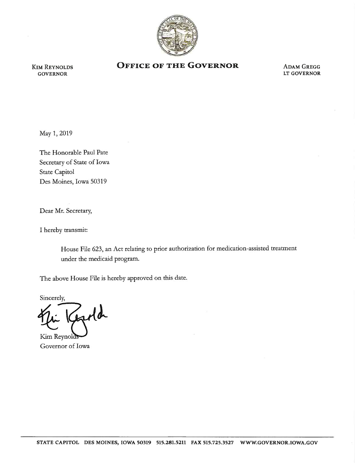

KIM REYNOLDS GOVERNOR

## **OFFICE OF THE GOVERNOR ADAM GREGG**

LT GOVERNOR

May 1, 2019

The Honorable Paul Pate Secretary of State of Iowa State Capitol Des Moines, Iowa 50319

Dear Mr. Secretary,

I hereby transmit:

House File 623, an Act relating to prior authorization for medication-assisted treatment under the medicaid program.

The above House File is hereby approved on this date.

Sincerely,

fold

Kim Reynold Governor of Iowa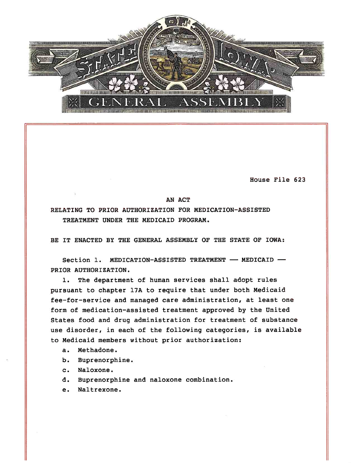

House File 623

AN ACT

RELATING TO PRIOR AUTHORIZATION FOR MEDICATION- ASSISTED TREATMENT UNDER THE MEDICAID PROGRAM.

BE IT ENACTED BY THE GENERAL ASSEMBLY OF THE STATE OF IOWA:

Section 1. MEDICATION-ASSISTED TREATMENT  $-$  MEDICAID  $-$ PRIOR AUTHORIZATION.

1. The department of human services shall adopt rules pursuant to chapter 17A to require that under both Medicaid fee-for-service and managed care administration, at least one form of medication-assisted treatment approved by the United States food and drug administration for treatment of substance use disorder, in each of the following categories, is available to Medicaid members without prior authorization:

- a. Methadone.
- b. Buprenorphine.
- c. Naloxone.
- d. Buprenorphine and naloxone combination.
- e. Naltrexone.